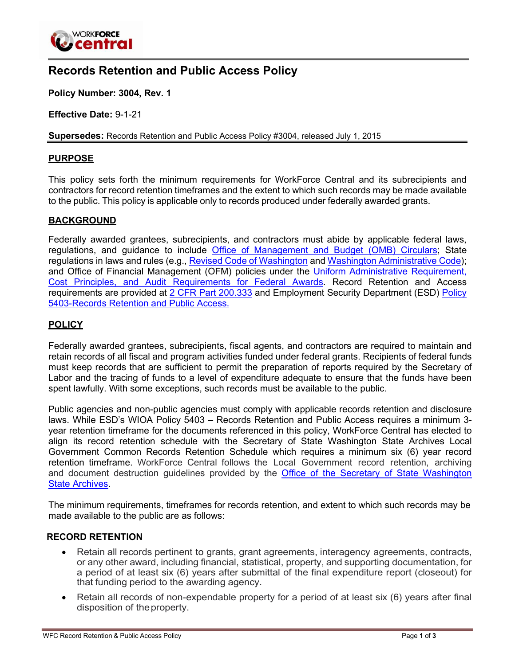

# **Records Retention and Public Access Policy**

**Policy Number: 3004, Rev. 1**

**Effective Date:** 9-1-21

**Supersedes:** Records Retention and Public Access Policy #3004, released July 1, 2015

#### **PURPOSE**

This policy sets forth the minimum requirements for WorkForce Central and its subrecipients and contractors for record retention timeframes and the extent to which such records may be made available to the public. This policy is applicable only to records produced under federally awarded grants.

#### **BACKGROUND**

Federally awarded grantees, subrecipients, and contractors must abide by applicable federal laws, regulations, and guidance to include Office of [Management](https://obamawhitehouse.archives.gov/omb/gils_gil-circ) and Budget (OMB) Circulars; State regulations in laws and rules (e.g., Revised Code of [Washington](https://apps.leg.wa.gov/rcw/) and Washington [Administrative](https://apps.leg.wa.gov/wac/) Code); and Office of Financial Management (OFM) policies under the [Uniform Administrative Requirement,](https://www.federalregister.gov/documents/2013/12/26/2013-30465/uniform-administrative-requirements-cost-principles-and-audit-requirements-for-federal-awards) Cost Principles, and Audit [Requirements](https://www.federalregister.gov/documents/2013/12/26/2013-30465/uniform-administrative-requirements-cost-principles-and-audit-requirements-for-federal-awards) for Federal Awards. Record Retention and Access requirements are provided at [2 CFR Part 200.333](https://www.govinfo.gov/app/details/CFR-2014-title2-vol1/CFR-2014-title2-vol1-sec200-333) and Employment Security Department (ESD) [Policy](https://storemultisites.blob.core.windows.net/media/WPC/adm/policy/5403.pdf) 5403-Records [Retention and Public](https://storemultisites.blob.core.windows.net/media/WPC/adm/policy/5403.pdf) Access.

#### **POLICY**

Federally awarded grantees, subrecipients, fiscal agents, and contractors are required to maintain and retain records of all fiscal and program activities funded under federal grants. Recipients of federal funds must keep records that are sufficient to permit the preparation of reports required by the Secretary of Labor and the tracing of funds to a level of expenditure adequate to ensure that the funds have been spent lawfully. With some exceptions, such records must be available to the public.

Public agencies and non-public agencies must comply with applicable records retention and disclosure laws. While ESD's WIOA Policy 5403 – Records Retention and Public Access requires a minimum 3 year retention timeframe for the documents referenced in this policy, WorkForce Central has elected to align its record retention schedule with the Secretary of State Washington State Archives Local Government Common Records Retention Schedule which requires a minimum six (6) year record retention timeframe. WorkForce Central follows the Local Government record retention, archiving and document destruction guidelines provided by the Office of the Secretary of State [Washington](https://www.sos.wa.gov/_assets/archives/recordsmanagement/local-government-common-records-retention-schedule-(core)-v.4.1-(august-2020).pdf) State [Archives.](https://www.sos.wa.gov/_assets/archives/recordsmanagement/local-government-common-records-retention-schedule-(core)-v.4.1-(august-2020).pdf)

The minimum requirements, timeframes for records retention, and extent to which such records may be made available to the public are as follows:

#### **RECORD RETENTION**

- Retain all records pertinent to grants, grant agreements, interagency agreements, contracts, or any other award, including financial, statistical, property, and supporting documentation, for a period of at least six (6) years after submittal of the final expenditure report (closeout) for that funding period to the awarding agency.
- Retain all records of non-expendable property for a period of at least six (6) years after final disposition of theproperty.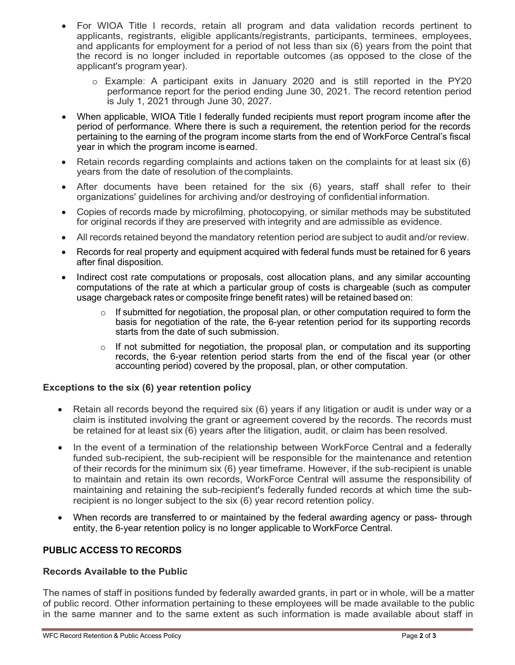- For WIOA Title I records, retain all program and data validation records pertinent to applicants, registrants, eligible applicants/registrants, participants, terminees, employees, and applicants for employment for a period of not less than six (6) years from the point that the record is no longer included in reportable outcomes (as opposed to the close of the applicant's program year).
	- o Example: A participant exits in January 2020 and is still reported in the PY20 performance report for the period ending June 30, 2021. The record retention period is July 1, 2021 through June 30, 2027.
- When applicable, WIOA Title I federally funded recipients must report program income after the period of performance. Where there is such a requirement, the retention period for the records pertaining to the earning of the program income starts from the end of WorkForce Central's fiscal year in which the program income isearned.
- Retain records regarding complaints and actions taken on the complaints for at least six (6) years from the date of resolution of thecomplaints.
- After documents have been retained for the six (6) years, staff shall refer to their organizations' guidelines for archiving and/or destroying of confidential information.
- Copies of records made by microfilming, photocopying, or similar methods may be substituted for original records if they are preserved with integrity and are admissible as evidence.
- All records retained beyond the mandatory retention period are subject to audit and/or review.
- Records for real property and equipment acquired with federal funds must be retained for 6 years after final disposition.
- Indirect cost rate computations or proposals, cost allocation plans, and any similar accounting computations of the rate at which a particular group of costs is chargeable (such as computer usage chargeback rates or composite fringe benefit rates) will be retained based on:
	- $\circ$  If submitted for negotiation, the proposal plan, or other computation required to form the basis for negotiation of the rate, the 6-year retention period for its supporting records starts from the date of such submission.
	- $\circ$  If not submitted for negotiation, the proposal plan, or computation and its supporting records, the 6-year retention period starts from the end of the fiscal year (or other accounting period) covered by the proposal, plan, or other computation.

### **Exceptions to the six (6) year retention policy**

- Retain all records beyond the required six (6) years if any litigation or audit is under way or a claim is instituted involving the grant or agreement covered by the records. The records must be retained for at least six (6) years after the litigation, audit, or claim has been resolved.
- In the event of a termination of the relationship between WorkForce Central and a federally funded sub-recipient, the sub-recipient will be responsible for the maintenance and retention of their records for the minimum six (6) year timeframe. However, if the sub-recipient is unable to maintain and retain its own records, WorkForce Central will assume the responsibility of maintaining and retaining the sub-recipient's federally funded records at which time the subrecipient is no longer subject to the six (6) year record retention policy.
- When records are transferred to or maintained by the federal awarding agency or pass-through entity, the 6-year retention policy is no longer applicable to WorkForce Central.

## **PUBLIC ACCESS TO RECORDS**

### **Records Available to the Public**

The names of staff in positions funded by federally awarded grants, in part or in whole, will be a matter of public record. Other information pertaining to these employees will be made available to the public in the same manner and to the same extent as such information is made available about staff in